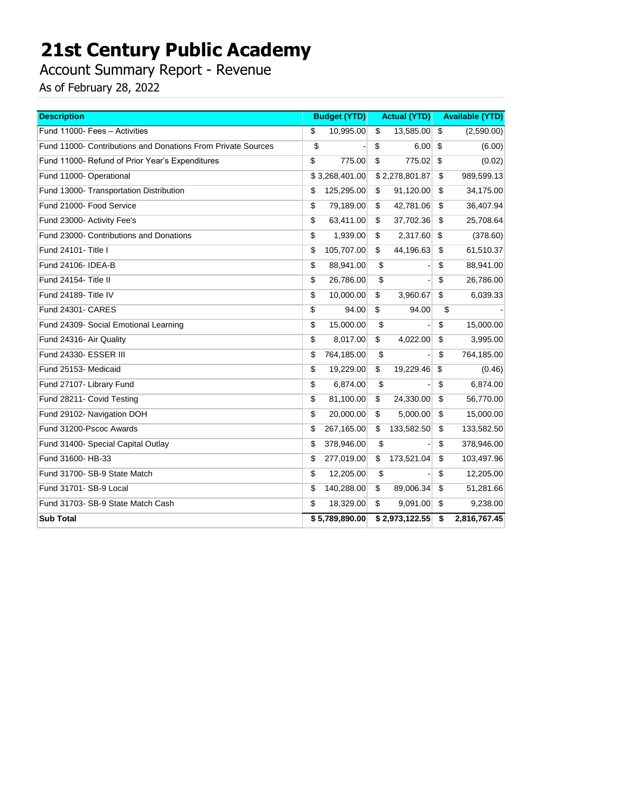Account Summary Report - Revenue

| <b>Description</b>                                           | <b>Budget (YTD)</b> | <b>Actual (YTD)</b> | <b>Available (YTD)</b> |
|--------------------------------------------------------------|---------------------|---------------------|------------------------|
| Fund 11000- Fees - Activities                                | \$                  | \$                  | \$                     |
|                                                              | 10,995.00           | 13,585.00           | (2,590.00)             |
| Fund 11000- Contributions and Donations From Private Sources | \$                  | \$<br>6.00          | \$<br>(6.00)           |
| Fund 11000- Refund of Prior Year's Expenditures              | \$                  | \$                  | \$                     |
|                                                              | 775.00              | 775.02              | (0.02)                 |
| Fund 11000- Operational                                      | \$3,268,401.00      | \$2,278,801.87      | 989,599.13<br>\$       |
| Fund 13000- Transportation Distribution                      | \$                  | \$                  | \$                     |
|                                                              | 125,295.00          | 91,120.00           | 34,175.00              |
| Fund 21000- Food Service                                     | \$                  | \$                  | \$                     |
|                                                              | 79,189.00           | 42,781.06           | 36,407.94              |
| Fund 23000- Activity Fee's                                   | \$                  | \$                  | -\$                    |
|                                                              | 63,411.00           | 37,702.36           | 25,708.64              |
| Fund 23000- Contributions and Donations                      | \$                  | \$                  | \$                     |
|                                                              | 1,939.00            | 2,317.60            | (378.60)               |
| Fund 24101- Title I                                          | \$                  | \$                  | 61,510.37              |
|                                                              | 105,707.00          | 44,196.63           | -\$                    |
| Fund 24106- IDEA-B                                           | \$<br>88,941.00     | \$                  | \$<br>88,941.00        |
| Fund 24154- Title II                                         | \$<br>26,786.00     | \$                  | \$<br>26,786.00        |
| Fund 24189- Title IV                                         | \$                  | \$                  | \$                     |
|                                                              | 10,000.00           | 3,960.67            | 6,039.33               |
| Fund 24301- CARES                                            | \$<br>94.00         | \$<br>94.00         | \$                     |
| Fund 24309- Social Emotional Learning                        | \$<br>15,000.00     | \$                  | \$<br>15,000.00        |
| Fund 24316- Air Quality                                      | \$                  | \$                  | \$                     |
|                                                              | 8,017.00            | 4,022.00            | 3,995.00               |
| Fund 24330- ESSER III                                        | \$<br>764,185.00    | \$                  | \$<br>764,185.00       |
| Fund 25153- Medicaid                                         | \$                  | \$                  | \$                     |
|                                                              | 19,229.00           | 19,229.46           | (0.46)                 |
| Fund 27107- Library Fund                                     | \$<br>6,874.00      | \$                  | \$<br>6,874.00         |
| Fund 28211- Covid Testing                                    | \$                  | \$                  | \$                     |
|                                                              | 81,100.00           | 24,330.00           | 56,770.00              |
| Fund 29102- Navigation DOH                                   | \$                  | \$                  | -\$                    |
|                                                              | 20,000.00           | 5,000.00            | 15,000.00              |
| Fund 31200-Pscoc Awards                                      | \$                  | \$                  | \$                     |
|                                                              | 267,165.00          | 133,582.50          | 133,582.50             |
| Fund 31400- Special Capital Outlay                           | \$<br>378,946.00    | \$                  | \$<br>378,946.00       |
| Fund 31600- HB-33                                            | \$                  | \$                  | \$                     |
|                                                              | 277,019.00          | 173,521.04          | 103,497.96             |
| Fund 31700- SB-9 State Match                                 | \$<br>12,205.00     | \$                  | \$<br>12,205.00        |
| Fund 31701- SB-9 Local                                       | \$                  | 89,006.34           | \$                     |
|                                                              | 140,288.00          | \$                  | 51,281.66              |
| Fund 31703- SB-9 State Match Cash                            | \$                  | \$                  | 9,238.00               |
|                                                              | 18,329.00           | 9,091.00            | -\$                    |
| <b>Sub Total</b>                                             | \$5,789,890.00      | \$2,973,122.55      | 2,816,767.45<br>-\$    |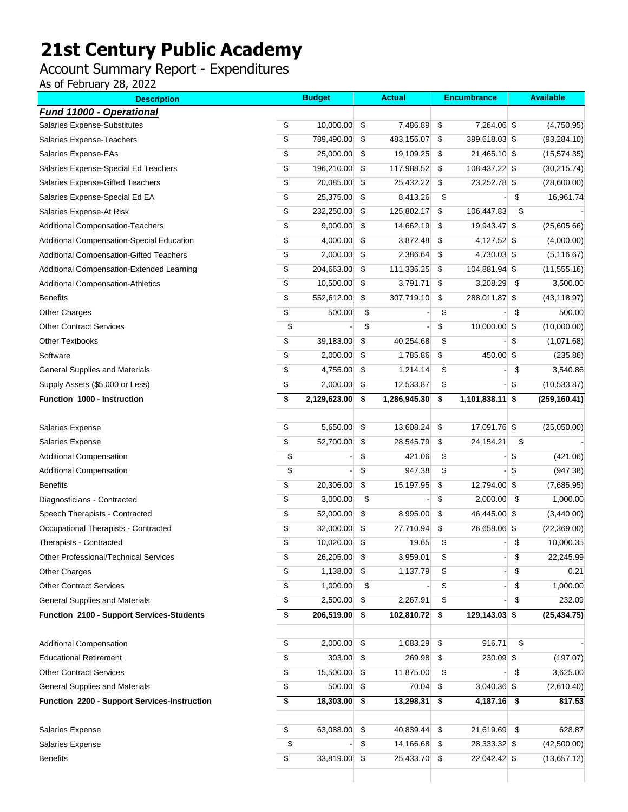### Account Summary Report - Expenditures

| <b>Description</b>                           |                    | <b>Budget</b> | <b>Actual</b>      | <b>Encumbrance</b>      |      | <b>Available</b> |
|----------------------------------------------|--------------------|---------------|--------------------|-------------------------|------|------------------|
| Fund 11000 - Operational                     |                    |               |                    |                         |      |                  |
| Salaries Expense-Substitutes                 | \$                 | 10,000.00     | \$<br>7,486.89     | \$<br>7,264.06 \$       |      | (4,750.95)       |
| Salaries Expense-Teachers                    | \$                 | 789,490.00    | \$<br>483,156.07   | \$<br>399,618.03 \$     |      | (93, 284.10)     |
| Salaries Expense-EAs                         | \$                 | 25,000.00     | \$<br>19,109.25    | \$<br>21,465.10 \$      |      | (15, 574.35)     |
| Salaries Expense-Special Ed Teachers         | \$                 | 196,210.00    | \$<br>117,988.52   | \$<br>108,437.22 \$     |      | (30, 215.74)     |
| Salaries Expense-Gifted Teachers             | \$                 | 20,085.00     | \$<br>25,432.22    | \$<br>23,252.78 \$      |      | (28,600.00)      |
| Salaries Expense-Special Ed EA               | \$                 | 25,375.00     | \$<br>8,413.26     | \$                      | \$   | 16,961.74        |
| Salaries Expense-At Risk                     | \$                 | 232,250.00    | \$<br>125,802.17   | \$<br>106,447.83        | \$   |                  |
| <b>Additional Compensation-Teachers</b>      | \$                 | 9,000.00      | \$<br>14,662.19    | \$<br>19,943.47 \$      |      | (25,605.66)      |
| Additional Compensation-Special Education    | \$                 | 4,000.00      | \$<br>3,872.48     | \$<br>4,127.52 \$       |      | (4,000.00)       |
| Additional Compensation-Gifted Teachers      | \$                 | 2,000.00      | \$<br>2,386.64     | \$<br>4,730.03 \$       |      | (5, 116.67)      |
| Additional Compensation-Extended Learning    | \$                 | 204,663.00    | \$<br>111,336.25   | \$<br>104,881.94 \$     |      | (11, 555.16)     |
| <b>Additional Compensation-Athletics</b>     | \$                 | 10,500.00     | \$<br>3,791.71     | \$<br>3,208.29          | -\$  | 3,500.00         |
| <b>Benefits</b>                              | \$                 | 552,612.00    | \$<br>307,719.10   | \$<br>288,011.87 \$     |      | (43, 118.97)     |
| <b>Other Charges</b>                         | \$                 | 500.00        | \$                 | \$                      | \$   | 500.00           |
| <b>Other Contract Services</b>               | \$                 |               | \$                 | \$<br>10,000.00 \$      |      | (10,000.00)      |
| <b>Other Textbooks</b>                       | \$                 | 39,183.00     | \$<br>40,254.68    | \$                      | \$   | (1,071.68)       |
| Software                                     | \$                 | 2,000.00      | \$<br>1,785.86     | \$<br>450.00 \$         |      | (235.86)         |
| General Supplies and Materials               | \$                 | 4,755.00      | \$<br>1,214.14     | \$                      | \$   | 3,540.86         |
| Supply Assets (\$5,000 or Less)              | \$                 | 2,000.00      | \$<br>12,533.87    | \$                      | \$   | (10,533.87)      |
| Function 1000 - Instruction                  | \$                 | 2,129,623.00  | \$<br>1,286,945.30 | \$<br>$1,101,838.11$ \$ |      | (259, 160.41)    |
|                                              |                    |               |                    |                         |      |                  |
| <b>Salaries Expense</b>                      | \$                 | 5,650.00      | \$<br>13,608.24    | \$<br>17,091.76 \$      |      | (25,050.00)      |
| Salaries Expense                             | \$                 | 52,700.00     | \$<br>28,545.79    | \$<br>24,154.21         | \$   |                  |
| <b>Additional Compensation</b>               | \$                 |               | \$<br>421.06       | \$                      | \$   | (421.06)         |
| <b>Additional Compensation</b>               | \$                 |               | \$<br>947.38       | \$                      | \$   | (947.38)         |
| <b>Benefits</b>                              | \$                 | 20,306.00     | \$<br>15,197.95    | \$<br>12,794.00 \$      |      | (7,685.95)       |
| Diagnosticians - Contracted                  | \$                 | 3,000.00      | \$                 | \$<br>2,000.00          | \$   | 1,000.00         |
| Speech Therapists - Contracted               | \$                 | 52,000.00     | \$<br>8,995.00     | \$<br>46,445.00 \$      |      | (3,440.00)       |
| Occupational Therapists - Contracted         | \$                 | 32,000.00     | \$<br>27,710.94    | \$<br>26,658.06 \$      |      | (22, 369.00)     |
| Therapists - Contracted                      | \$                 | 10,020.00     | \$<br>19.65        | \$                      | \$   | 10,000.35        |
| Other Professional/Technical Services        | \$                 | 26,205.00 \$  | 3,959.01           | \$                      | \$   | 22,245.99        |
| <b>Other Charges</b>                         | \$                 | 1,138.00      | \$<br>1,137.79     | \$                      | \$   | 0.21             |
| <b>Other Contract Services</b>               | \$                 | 1,000.00      | \$                 | \$                      | \$   | 1,000.00         |
| <b>General Supplies and Materials</b>        | \$                 | 2,500.00      | \$<br>2,267.91     | \$                      | \$   | 232.09           |
| Function 2100 - Support Services-Students    | \$                 | 206,519.00    | \$<br>102,810.72   | \$<br>129,143.03 \$     |      | (25, 434.75)     |
|                                              |                    |               |                    |                         |      |                  |
| <b>Additional Compensation</b>               | \$                 | $2,000.00$ \$ | $1,083.29$ \$      | 916.71                  | \$   |                  |
| <b>Educational Retirement</b>                | \$                 | 303.00        | \$<br>269.98 \$    | $230.09$ \$             |      | (197.07)         |
| <b>Other Contract Services</b>               | \$                 | 15,500.00     | \$<br>11,875.00    | \$                      | \$   | 3,625.00         |
| <b>General Supplies and Materials</b>        | \$                 | 500.00        | \$<br>70.04        | \$<br>$3,040.36$ \$     |      | (2,610.40)       |
| Function 2200 - Support Services-Instruction | \$                 | 18,303.00     | \$<br>13,298.31    | \$<br>4,187.16          | \$   | 817.53           |
|                                              |                    |               |                    |                         |      |                  |
| Salaries Expense                             | \$                 | 63,088.00     | \$<br>40,839.44 \$ | 21,619.69               | - \$ | 628.87           |
| Salaries Expense                             | \$                 |               | \$<br>14,166.68 \$ | 28,333.32 \$            |      | (42,500.00)      |
| <b>Benefits</b>                              | $\pmb{\mathbb{S}}$ | 33,819.00     | \$<br>25,433.70 \$ | 22,042.42 \$            |      | (13,657.12)      |
|                                              |                    |               |                    |                         |      |                  |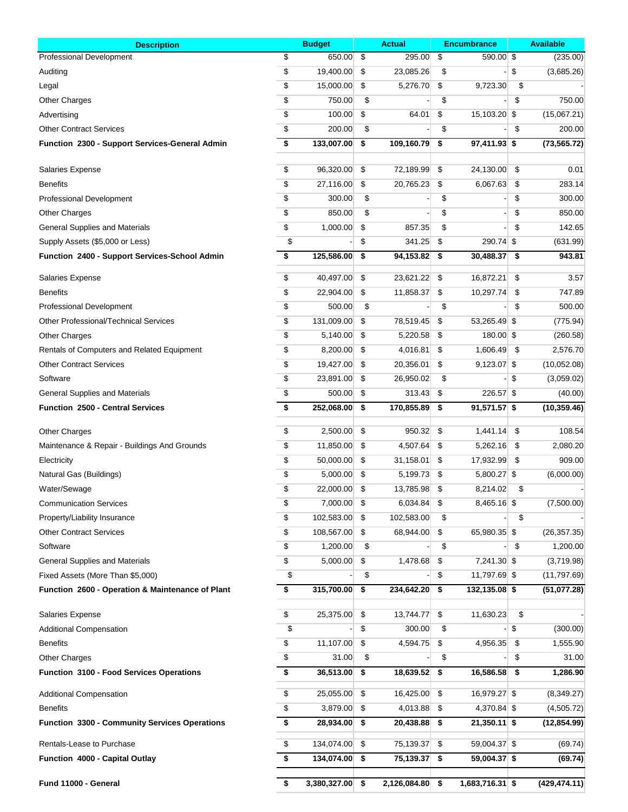| <b>Description</b>                                   | <b>Budget</b>           |      | <b>Actual</b>     | <b>Encumbrance</b>   |      | <b>Available</b> |  |  |
|------------------------------------------------------|-------------------------|------|-------------------|----------------------|------|------------------|--|--|
| <b>Professional Development</b>                      | \$<br>650.00            | \$   | 295.00            | \$<br>590.00 \$      |      | (235.00)         |  |  |
| Auditing                                             | \$<br>19,400.00         | \$   | 23,085.26         | \$                   | \$   | (3,685.26)       |  |  |
| Legal                                                | \$<br>15,000.00         | \$   | 5,276.70          | \$<br>9,723.30       | \$   |                  |  |  |
| <b>Other Charges</b>                                 | \$<br>750.00            | \$   |                   | \$                   | \$   | 750.00           |  |  |
| Advertising                                          | \$<br>100.00            | \$   | 64.01             | \$<br>15,103.20 \$   |      | (15,067.21)      |  |  |
| <b>Other Contract Services</b>                       | \$<br>200.00            | \$   |                   | \$                   | \$   | 200.00           |  |  |
| Function 2300 - Support Services-General Admin       | \$<br>133,007.00        | \$   | 109,160.79        | \$<br>97,411.93 \$   |      | (73, 565.72)     |  |  |
| <b>Salaries Expense</b>                              | \$<br>96,320.00         | \$   | 72,189.99         | \$<br>24,130.00      | \$   | 0.01             |  |  |
| <b>Benefits</b>                                      | \$<br>27,116.00         | \$   | 20,765.23         | \$<br>6,067.63       | \$   | 283.14           |  |  |
| Professional Development                             | \$<br>300.00            | \$   |                   | \$                   | \$   | 300.00           |  |  |
| <b>Other Charges</b>                                 | \$<br>850.00            | \$   |                   | \$                   | \$   | 850.00           |  |  |
| General Supplies and Materials                       | \$<br>1,000.00          | \$   | 857.35            | \$                   | \$   | 142.65           |  |  |
| Supply Assets (\$5,000 or Less)                      | \$                      | \$   | 341.25            | \$<br>290.74 \$      |      | (631.99)         |  |  |
| <b>Function 2400 - Support Services-School Admin</b> | \$<br>125,586.00        | \$   | 94,153.82         | \$<br>30,488.37      | \$   | 943.81           |  |  |
|                                                      |                         |      |                   |                      |      |                  |  |  |
| Salaries Expense                                     | \$<br>40,497.00         | \$   | 23,621.22         | \$<br>16,872.21      | \$   | 3.57             |  |  |
| <b>Benefits</b>                                      | \$<br>22,904.00         | \$   | 11,858.37         | \$<br>10,297.74      | \$   | 747.89           |  |  |
| <b>Professional Development</b>                      | \$<br>500.00            | \$   |                   | \$                   | \$   | 500.00           |  |  |
| <b>Other Professional/Technical Services</b>         | \$<br>131,009.00        | \$   | 78,519.45         | \$<br>53,265.49 \$   |      | (775.94)         |  |  |
| <b>Other Charges</b>                                 | \$<br>5,140.00          | \$   | 5,220.58          | \$<br>180.00 \$      |      | (260.58)         |  |  |
| Rentals of Computers and Related Equipment           | \$<br>8,200.00          | \$   | 4,016.81          | \$<br>1,606.49       | -\$  | 2,576.70         |  |  |
| <b>Other Contract Services</b>                       | \$<br>19,427.00         | \$   | 20,356.01         | \$<br>$9,123.07$ \$  |      | (10,052.08)      |  |  |
| Software                                             | \$<br>23,891.00         | \$   | 26,950.02         | \$                   | \$   | (3,059.02)       |  |  |
| <b>General Supplies and Materials</b>                | \$<br>500.00            | \$   | 313.43            | \$<br>226.57 \$      |      | (40.00)          |  |  |
| <b>Function 2500 - Central Services</b>              | \$<br>252,068.00        | \$   | 170,855.89        | \$<br>$91,571.57$ \$ |      | (10, 359.46)     |  |  |
| <b>Other Charges</b>                                 | \$<br>2,500.00          | \$   | 950.32            | \$<br>1,441.14       | \$   | 108.54           |  |  |
| Maintenance & Repair - Buildings And Grounds         | \$<br>11,850.00         | \$   | 4,507.64          | \$<br>5,262.16       | - \$ | 2,080.20         |  |  |
| Electricity                                          | \$<br>50,000.00         | \$   | 31,158.01         | \$<br>17,932.99      | \$   | 909.00           |  |  |
| Natural Gas (Buildings)                              | \$<br>5,000.00          | - \$ | 5,199.73          | \$<br>5,800.27 \$    |      | (6,000.00)       |  |  |
| Water/Sewage                                         | \$<br>22,000.00         | \$   | 13,785.98         | \$<br>8,214.02       | \$   |                  |  |  |
| <b>Communication Services</b>                        | \$<br>7,000.00          | \$   | 6,034.84          | \$<br>8,465.16 \$    |      | (7,500.00)       |  |  |
| Property/Liability Insurance                         | \$<br>102,583.00        | \$   | 102,583.00        | \$                   | \$   |                  |  |  |
| <b>Other Contract Services</b>                       | \$<br>108,567.00        | \$   | 68,944.00         | \$<br>65,980.35 \$   |      | (26, 357.35)     |  |  |
| Software                                             | \$<br>1,200.00          | \$   |                   | \$                   | \$   | 1,200.00         |  |  |
| <b>General Supplies and Materials</b>                | \$<br>5,000.00          | \$   | 1,478.68          | \$<br>7,241.30 \$    |      | (3,719.98)       |  |  |
| Fixed Assets (More Than \$5,000)                     | \$                      | \$   |                   | \$<br>11,797.69 \$   |      | (11,797.69)      |  |  |
| Function 2600 - Operation & Maintenance of Plant     | \$<br>315,700.00        | \$   | 234,642.20        | \$<br>132,135.08 \$  |      | (51,077.28)      |  |  |
| Salaries Expense                                     | \$<br>25,375.00         | \$   | 13,744.77         | \$<br>11,630.23      | \$   |                  |  |  |
| <b>Additional Compensation</b>                       | \$                      | \$   | 300.00            | \$                   | \$   | (300.00)         |  |  |
| <b>Benefits</b>                                      | \$<br>11,107.00         | \$   | 4,594.75          | \$<br>4,956.35       | -\$  | 1,555.90         |  |  |
| <b>Other Charges</b>                                 | \$<br>31.00             | \$   |                   | \$                   | \$   | 31.00            |  |  |
| <b>Function 3100 - Food Services Operations</b>      | \$<br>36,513.00         | \$   | 18,639.52         | \$<br>16,586.58 \$   |      | 1,286.90         |  |  |
|                                                      |                         |      |                   |                      |      |                  |  |  |
| <b>Additional Compensation</b>                       | \$<br>25,055.00         | \$   | 16,425.00         | \$<br>16,979.27 \$   |      | (8,349.27)       |  |  |
| <b>Benefits</b>                                      | \$<br>3,879.00          | \$   | 4,013.88          | \$<br>4,370.84 \$    |      | (4,505.72)       |  |  |
| Function 3300 - Community Services Operations        | \$<br>28,934.00         | -\$  | 20,438.88         | \$<br>$21,350.11$ \$ |      | (12, 854.99)     |  |  |
| Rentals-Lease to Purchase                            | \$<br>134,074.00        | \$   | 75,139.37         | \$<br>59,004.37 \$   |      | (69.74)          |  |  |
| Function 4000 - Capital Outlay                       | \$<br>134,074.00 \$     |      | 75,139.37         | \$<br>59,004.37 \$   |      | (69.74)          |  |  |
| Fund 11000 - General                                 | \$<br>$3,380,327.00$ \$ |      | $2,126,084.80$ \$ | 1,683,716.31 \$      |      | (429, 474.11)    |  |  |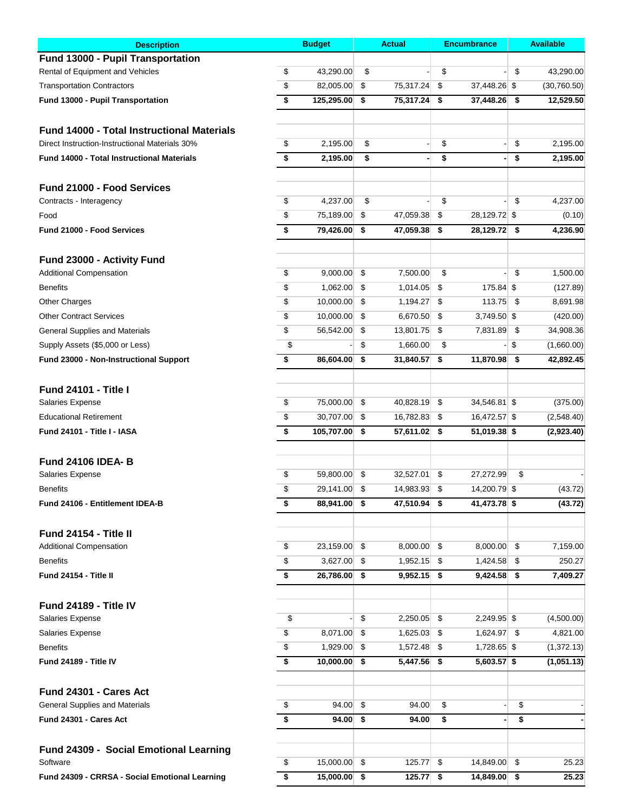| <b>Description</b>                                |                                      | <b>Budget</b>  |     | <b>Actual</b> | <b>Encumbrance</b> | <b>Available</b> |             |
|---------------------------------------------------|--------------------------------------|----------------|-----|---------------|--------------------|------------------|-------------|
| Fund 13000 - Pupil Transportation                 |                                      |                |     |               |                    |                  |             |
| Rental of Equipment and Vehicles                  | \$                                   | 43,290.00      | \$  |               | \$                 | \$               | 43,290.00   |
| <b>Transportation Contractors</b>                 | \$                                   | 82,005.00      | \$  | 75,317.24     | \$<br>37,448.26 \$ |                  | (30,760.50) |
| Fund 13000 - Pupil Transportation                 | \$                                   | 125,295.00     | \$  | 75,317.24     | \$<br>37,448.26    | \$               | 12,529.50   |
| <b>Fund 14000 - Total Instructional Materials</b> |                                      |                |     |               |                    |                  |             |
| Direct Instruction-Instructional Materials 30%    | \$                                   | 2,195.00       | \$  |               | \$                 | \$               | 2,195.00    |
| <b>Fund 14000 - Total Instructional Materials</b> | \$                                   | 2,195.00       | \$  |               | \$                 | \$               | 2,195.00    |
|                                                   |                                      |                |     |               |                    |                  |             |
| Fund 21000 - Food Services                        |                                      |                |     |               |                    |                  |             |
| Contracts - Interagency                           | \$                                   | 4,237.00       | \$  |               | \$                 | \$               | 4,237.00    |
| Food                                              | \$                                   | 75,189.00      | \$  | 47,059.38     | \$<br>28,129.72 \$ |                  | (0.10)      |
| Fund 21000 - Food Services                        | \$                                   | 79,426.00      | \$  | 47,059.38     | \$<br>28,129.72 \$ |                  | 4,236.90    |
| Fund 23000 - Activity Fund                        |                                      |                |     |               |                    |                  |             |
| <b>Additional Compensation</b>                    | \$                                   | 9,000.00       | \$  | 7,500.00      | \$                 | \$               | 1,500.00    |
| <b>Benefits</b>                                   | \$                                   | 1,062.00       | \$  | 1,014.05      | \$<br>175.84 \$    |                  | (127.89)    |
| <b>Other Charges</b>                              | \$                                   | 10,000.00      | -\$ | 1,194.27      | \$<br>113.75       | -\$              | 8,691.98    |
| <b>Other Contract Services</b>                    | \$                                   | 10,000.00      | -\$ | 6,670.50      | \$<br>3,749.50 \$  |                  | (420.00)    |
| <b>General Supplies and Materials</b>             | \$                                   | 56,542.00      | \$  | 13,801.75     | \$<br>7,831.89     | \$               | 34,908.36   |
| Supply Assets (\$5,000 or Less)                   | \$                                   |                | \$  | 1,660.00      | \$                 | \$               | (1,660.00)  |
|                                                   |                                      | 86,604.00      |     | 31,840.57     | 11,870.98 \$       |                  | 42,892.45   |
| Fund 23000 - Non-Instructional Support            | \$                                   |                | \$  |               | \$                 |                  |             |
| <b>Fund 24101 - Title I</b>                       |                                      |                |     |               |                    |                  |             |
| Salaries Expense                                  | \$                                   | 75,000.00      | -\$ | 40,828.19     | \$<br>34,546.81 \$ |                  | (375.00)    |
| <b>Educational Retirement</b>                     | \$                                   | 30,707.00      | \$  | 16,782.83     | \$<br>16,472.57 \$ |                  | (2,548.40)  |
| Fund 24101 - Title I - IASA                       | \$                                   | 105,707.00     | \$  | 57,611.02 \$  | 51,019.38 \$       |                  | (2,923.40)  |
| <b>Fund 24106 IDEA-B</b>                          |                                      |                |     |               |                    |                  |             |
| Salaries Expense                                  | \$                                   | 59,800.00      | \$  | 32,527.01     | \$<br>27,272.99    | \$               |             |
| <b>Benefits</b>                                   | \$                                   | 29,141.00 \$   |     | 14,983.93     | \$<br>14,200.79 \$ |                  | (43.72)     |
| Fund 24106 - Entitlement IDEA-B                   | \$                                   | 88,941.00 \$   |     | 47,510.94 \$  | 41,473.78 \$       |                  | (43.72)     |
|                                                   |                                      |                |     |               |                    |                  |             |
| Fund 24154 - Title II                             |                                      |                |     |               |                    |                  |             |
| <b>Additional Compensation</b>                    | \$                                   | $23,159.00$ \$ |     | 8,000.00 \$   | 8,000.00 \$        |                  | 7,159.00    |
| <b>Benefits</b>                                   | \$                                   | 3,627.00 \$    |     | $1,952.15$ \$ | 1,424.58           | -\$              | 250.27      |
| Fund 24154 - Title II                             | \$                                   | 26,786.00 \$   |     | $9,952.15$ \$ | $9,424.58$ \$      |                  | 7,409.27    |
| Fund 24189 - Title IV                             |                                      |                |     |               |                    |                  |             |
| Salaries Expense                                  | \$                                   |                | \$  | $2,250.05$ \$ | 2,249.95 \$        |                  | (4,500.00)  |
| Salaries Expense                                  | \$                                   | 8,071.00 \$    |     | 1,625.03      | \$<br>1,624.97 \$  |                  | 4,821.00    |
| <b>Benefits</b>                                   | \$                                   | 1,929.00 \$    |     | 1,572.48      | \$<br>1,728.65 \$  |                  | (1,372.13)  |
| Fund 24189 - Title IV                             | $\overline{\boldsymbol{\mathsf{s}}}$ | $10,000.00$ \$ |     | 5,447.56 \$   | $5,603.57$ \$      |                  | (1,051.13)  |
| Fund 24301 - Cares Act                            |                                      |                |     |               |                    |                  |             |
| <b>General Supplies and Materials</b>             | \$                                   | $94.00$ \$     |     | 94.00         | \$                 | \$               |             |
| Fund 24301 - Cares Act                            | \$                                   | $94.00$ \$     |     | 94.00         | \$                 | \$               |             |
|                                                   |                                      |                |     |               |                    |                  |             |
| Fund 24309 - Social Emotional Learning            |                                      |                |     |               |                    |                  |             |
| Software                                          | \$                                   | $15,000.00$ \$ |     | 125.77        | \$<br>14,849.00 \$ |                  | 25.23       |
| Fund 24309 - CRRSA - Social Emotional Learning    | \$                                   | 15,000.00      | \$  | 125.77        | \$<br>14,849.00    | \$               | 25.23       |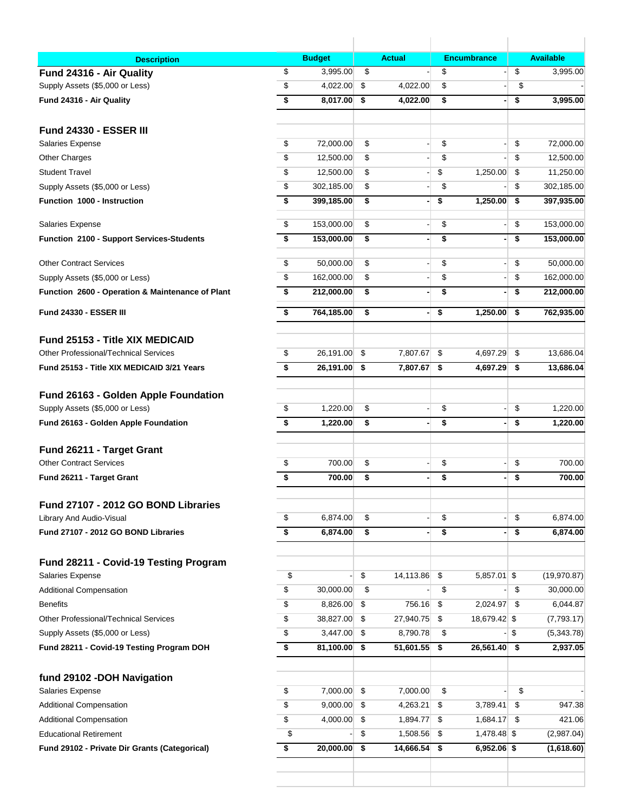| <b>Description</b>                                              | <b>Budget</b>       |     | <b>Actual</b>            |     | <b>Encumbrance</b> | <b>Available</b> |
|-----------------------------------------------------------------|---------------------|-----|--------------------------|-----|--------------------|------------------|
| Fund 24316 - Air Quality                                        | \$<br>3,995.00      | \$  |                          | \$  |                    | \$<br>3,995.00   |
| Supply Assets (\$5,000 or Less)                                 | \$<br>4,022.00      | \$  | 4,022.00                 | \$  |                    | \$               |
| Fund 24316 - Air Quality                                        | \$<br>8,017.00      | \$  | 4,022.00                 | \$  | ٠                  | \$<br>3,995.00   |
| <b>Fund 24330 - ESSER III</b>                                   |                     |     |                          |     |                    |                  |
| Salaries Expense                                                | \$<br>72,000.00     | \$  |                          | \$  |                    | \$<br>72,000.00  |
| <b>Other Charges</b>                                            | \$<br>12,500.00     | \$  |                          | \$  |                    | \$<br>12,500.00  |
| <b>Student Travel</b>                                           | \$<br>12,500.00     | \$  |                          | \$  | 1,250.00           | \$<br>11,250.00  |
| Supply Assets (\$5,000 or Less)                                 | \$<br>302,185.00    | \$  |                          | \$  |                    | \$<br>302,185.00 |
| Function 1000 - Instruction                                     | \$<br>399,185.00    | \$  | $\overline{\phantom{0}}$ | \$  | 1,250.00           | \$<br>397,935.00 |
| Salaries Expense                                                | \$<br>153,000.00    | \$  |                          | \$  |                    | \$<br>153,000.00 |
| Function 2100 - Support Services-Students                       | \$<br>153,000.00    | \$  | ٠                        | \$  | ٠                  | \$<br>153,000.00 |
| <b>Other Contract Services</b>                                  | \$<br>50,000.00     | \$  |                          | \$  |                    | \$<br>50,000.00  |
| Supply Assets (\$5,000 or Less)                                 | \$<br>162,000.00    | \$  |                          | \$  |                    | \$<br>162,000.00 |
| Function 2600 - Operation & Maintenance of Plant                | \$<br>212,000.00    | \$  | $\blacksquare$           | \$  |                    | \$<br>212,000.00 |
| <b>Fund 24330 - ESSER III</b>                                   | \$<br>764,185.00    | \$  | -1                       | \$  | 1,250.00           | \$<br>762,935.00 |
| <b>Fund 25153 - Title XIX MEDICAID</b>                          |                     |     |                          |     |                    |                  |
| <b>Other Professional/Technical Services</b>                    | \$<br>26,191.00     | \$  | 7,807.67                 | \$  | 4,697.29           | \$<br>13,686.04  |
| Fund 25153 - Title XIX MEDICAID 3/21 Years                      | \$<br>26,191.00     | \$  | 7,807.67                 | \$  | 4,697.29           | \$<br>13,686.04  |
| Fund 26163 - Golden Apple Foundation                            |                     |     |                          |     |                    |                  |
| Supply Assets (\$5,000 or Less)                                 | \$<br>1,220.00      | \$  |                          | \$  |                    | \$<br>1,220.00   |
| Fund 26163 - Golden Apple Foundation                            | \$<br>1,220.00      | \$  |                          | \$  |                    | \$<br>1,220.00   |
| Fund 26211 - Target Grant                                       |                     |     |                          |     |                    |                  |
| <b>Other Contract Services</b>                                  | \$<br>700.00        | \$  |                          | \$  |                    | \$<br>700.00     |
| Fund 26211 - Target Grant                                       | \$<br>700.00        | \$  | $\blacksquare$           | \$  |                    | \$<br>700.00     |
| Fund 27107 - 2012 GO BOND Libraries                             |                     |     |                          |     |                    |                  |
| Library And Audio-Visual                                        | \$<br>6,874.00      | \$  |                          | \$  |                    | \$<br>6,874.00   |
| Fund 27107 - 2012 GO BOND Libraries                             | \$<br>6,874.00      | \$  |                          | \$  |                    | \$<br>6,874.00   |
|                                                                 |                     |     |                          |     |                    |                  |
| Fund 28211 - Covid-19 Testing Program<br>Salaries Expense       | \$                  | \$  | 14,113.86                | -\$ | $5,857.01$ \$      | (19,970.87)      |
| <b>Additional Compensation</b>                                  | \$<br>30,000.00     | \$  |                          | \$  |                    | \$<br>30,000.00  |
| <b>Benefits</b>                                                 | \$<br>8,826.00      | \$  | 756.16 \$                |     | 2,024.97 \$        | 6,044.87         |
| Other Professional/Technical Services                           | \$<br>38,827.00     | \$  | 27,940.75 \$             |     | 18,679.42 \$       | (7,793.17)       |
| Supply Assets (\$5,000 or Less)                                 | \$<br>3,447.00      | \$  | 8,790.78                 | \$  |                    | \$<br>(5,343.78) |
| Fund 28211 - Covid-19 Testing Program DOH                       | \$<br>81,100.00     | -\$ | $51,601.55$ \$           |     | 26,561.40 \$       | 2,937.05         |
|                                                                 |                     |     |                          |     |                    |                  |
| fund 29102 - DOH Navigation<br>Salaries Expense                 | \$<br>7,000.00      | \$  | 7,000.00                 | \$  |                    | \$               |
|                                                                 | \$<br>$9,000.00$ \$ |     | 4,263.21                 | \$  | 3,789.41           | \$<br>947.38     |
| <b>Additional Compensation</b>                                  | \$<br>4,000.00      | \$  | 1,894.77                 | \$  | 1,684.17           | \$<br>421.06     |
| <b>Additional Compensation</b><br><b>Educational Retirement</b> | \$                  | \$  |                          |     |                    |                  |
|                                                                 |                     |     | 1,508.56 \$              |     | 1,478.48 \$        | (2,987.04)       |
| Fund 29102 - Private Dir Grants (Categorical)                   | \$<br>20,000.00     | \$  | 14,666.54                | \$  | $6,952.06$ \$      | (1,618.60)       |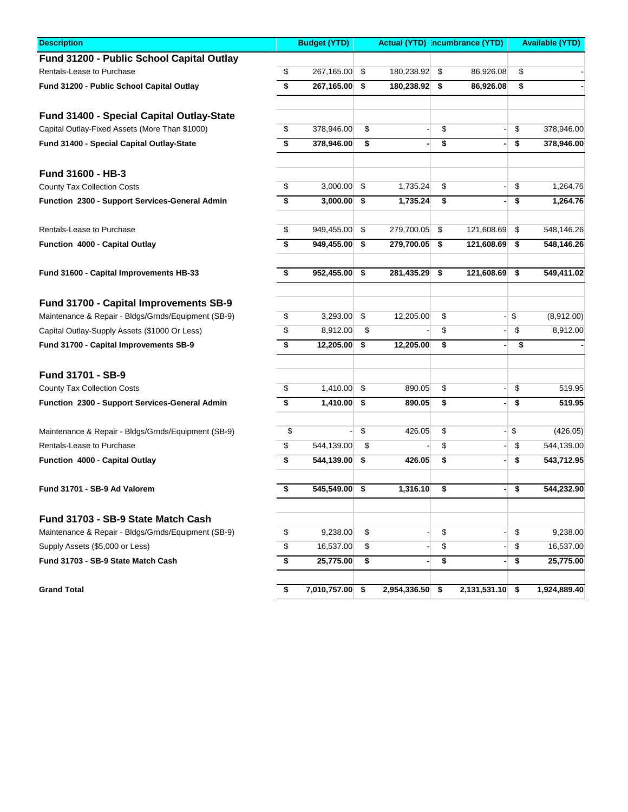| <b>Description</b>                                  | <b>Budget (YTD)</b> | <b>Actual (YTD) Incumbrance (YTD)</b> |                    | <b>Available (YTD)</b> |              |  |
|-----------------------------------------------------|---------------------|---------------------------------------|--------------------|------------------------|--------------|--|
| Fund 31200 - Public School Capital Outlay           |                     |                                       |                    |                        |              |  |
| Rentals-Lease to Purchase                           | \$<br>267,165.00    | \$<br>180,238.92 \$                   | 86,926.08          | \$                     |              |  |
| Fund 31200 - Public School Capital Outlay           | \$<br>267,165.00    | \$<br>180,238.92 \$                   | 86,926.08          | \$                     |              |  |
| Fund 31400 - Special Capital Outlay-State           |                     |                                       |                    |                        |              |  |
| Capital Outlay-Fixed Assets (More Than \$1000)      | \$<br>378,946.00    | \$                                    | \$                 | \$                     | 378,946.00   |  |
| Fund 31400 - Special Capital Outlay-State           | \$<br>378,946.00    | \$                                    | \$                 | \$                     | 378,946.00   |  |
| Fund 31600 - HB-3                                   |                     |                                       |                    |                        |              |  |
| <b>County Tax Collection Costs</b>                  | \$<br>3,000.00      | \$<br>1,735.24                        | \$                 | \$                     | 1,264.76     |  |
| Function 2300 - Support Services-General Admin      | \$<br>3,000.00      | \$<br>1,735.24                        | \$                 | \$                     | 1,264.76     |  |
| Rentals-Lease to Purchase                           | \$<br>949,455.00    | \$<br>279,700.05                      | \$<br>121,608.69   | \$                     | 548,146.26   |  |
| Function 4000 - Capital Outlay                      | \$<br>949,455.00    | \$<br>279,700.05                      | \$<br>121,608.69   | \$                     | 548,146.26   |  |
| Fund 31600 - Capital Improvements HB-33             | \$<br>952,455.00    | \$<br>281,435.29                      | \$<br>121,608.69   | \$                     | 549,411.02   |  |
| Fund 31700 - Capital Improvements SB-9              |                     |                                       |                    |                        |              |  |
| Maintenance & Repair - Bldgs/Grnds/Equipment (SB-9) | \$<br>3,293.00      | \$<br>12,205.00                       | \$                 | \$                     | (8,912.00)   |  |
| Capital Outlay-Supply Assets (\$1000 Or Less)       | \$<br>8,912.00      | \$                                    | \$                 | \$                     | 8,912.00     |  |
| Fund 31700 - Capital Improvements SB-9              | \$<br>12,205.00 \$  | 12,205.00                             | \$                 | \$                     |              |  |
| <b>Fund 31701 - SB-9</b>                            |                     |                                       |                    |                        |              |  |
| <b>County Tax Collection Costs</b>                  | \$<br>$1,410.00$ \$ | 890.05                                | \$                 | \$                     | 519.95       |  |
| Function 2300 - Support Services-General Admin      | \$<br>1,410.00      | \$<br>890.05                          | \$                 | \$                     | 519.95       |  |
| Maintenance & Repair - Bldgs/Grnds/Equipment (SB-9) | \$                  | \$<br>426.05                          | \$                 | \$                     | (426.05)     |  |
| Rentals-Lease to Purchase                           | \$<br>544,139.00    | \$                                    | \$                 | \$                     | 544,139.00   |  |
| Function 4000 - Capital Outlay                      | \$<br>544,139.00    | \$<br>426.05                          | \$                 | \$                     | 543,712.95   |  |
| Fund 31701 - SB-9 Ad Valorem                        | \$<br>545,549.00    | \$<br>1,316.10                        | \$                 | \$                     | 544,232.90   |  |
| Fund 31703 - SB-9 State Match Cash                  |                     |                                       |                    |                        |              |  |
| Maintenance & Repair - Bldgs/Grnds/Equipment (SB-9) | \$<br>9,238.00      | \$                                    | \$                 | \$                     | 9,238.00     |  |
| Supply Assets (\$5,000 or Less)                     | \$<br>16,537.00     | \$                                    | \$                 | \$                     | 16,537.00    |  |
| Fund 31703 - SB-9 State Match Cash                  | \$<br>25,775.00     | \$                                    | \$                 | \$                     | 25,775.00    |  |
| <b>Grand Total</b>                                  | \$<br>7,010,757.00  | \$<br>2,954,336.50                    | \$<br>2,131,531.10 | \$                     | 1,924,889.40 |  |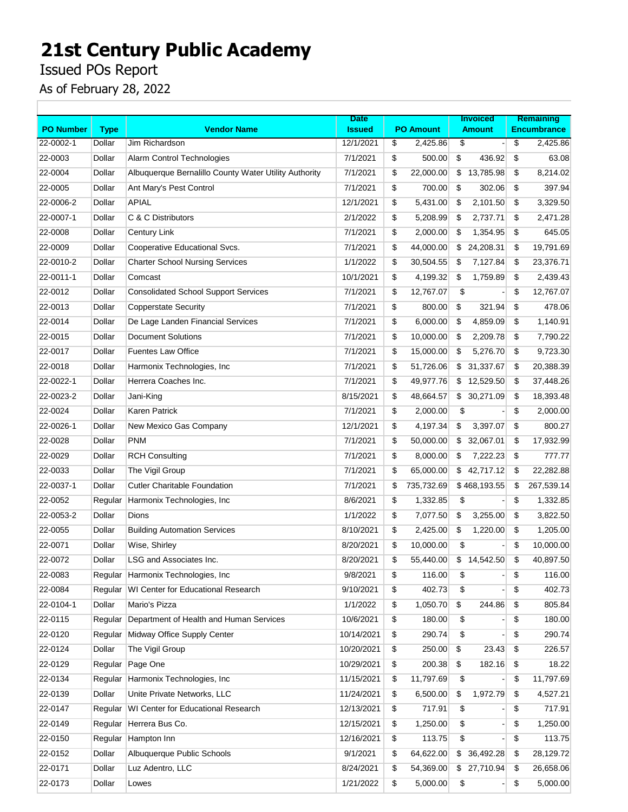Issued POs Report

|                  |             |                                                       | <b>Date</b>   |                  | <b>Invoiced</b> | Remaining          |
|------------------|-------------|-------------------------------------------------------|---------------|------------------|-----------------|--------------------|
| <b>PO Number</b> | <b>Type</b> | <b>Vendor Name</b>                                    | <b>Issued</b> | <b>PO Amount</b> | <b>Amount</b>   | <b>Encumbrance</b> |
| 22-0002-1        | Dollar      | Jim Richardson                                        | 12/1/2021     | \$<br>2,425.86   | \$              | \$<br>2,425.86     |
| 22-0003          | Dollar      | Alarm Control Technologies                            | 7/1/2021      | \$<br>500.00     | \$<br>436.92    | \$<br>63.08        |
| 22-0004          | Dollar      | Albuquerque Bernalillo County Water Utility Authority | 7/1/2021      | \$<br>22,000.00  | \$13,785.98     | \$<br>8,214.02     |
| 22-0005          | Dollar      | Ant Mary's Pest Control                               | 7/1/2021      | \$<br>700.00     | \$<br>302.06    | \$<br>397.94       |
| 22-0006-2        | Dollar      | <b>APIAL</b>                                          | 12/1/2021     | \$<br>5,431.00   | \$<br>2,101.50  | \$<br>3,329.50     |
| 22-0007-1        | Dollar      | C & C Distributors                                    | 2/1/2022      | \$<br>5,208.99   | \$<br>2,737.71  | \$<br>2,471.28     |
| 22-0008          | Dollar      | Century Link                                          | 7/1/2021      | \$<br>2,000.00   | \$<br>1,354.95  | \$<br>645.05       |
| 22-0009          | Dollar      | Cooperative Educational Svcs.                         | 7/1/2021      | \$<br>44,000.00  | \$<br>24,208.31 | \$<br>19,791.69    |
| 22-0010-2        | Dollar      | <b>Charter School Nursing Services</b>                | 1/1/2022      | \$<br>30,504.55  | 7,127.84<br>\$  | \$<br>23,376.71    |
| 22-0011-1        | Dollar      | Comcast                                               | 10/1/2021     | \$<br>4,199.32   | \$<br>1,759.89  | \$<br>2,439.43     |
| 22-0012          | Dollar      | <b>Consolidated School Support Services</b>           | 7/1/2021      | \$<br>12,767.07  | \$              | \$<br>12,767.07    |
| 22-0013          | Dollar      | <b>Copperstate Security</b>                           | 7/1/2021      | \$<br>800.00     | \$<br>321.94    | \$<br>478.06       |
| 22-0014          | Dollar      | De Lage Landen Financial Services                     | 7/1/2021      | \$<br>6,000.00   | \$<br>4,859.09  | \$<br>1,140.91     |
| 22-0015          | Dollar      | <b>Document Solutions</b>                             | 7/1/2021      | \$<br>10,000.00  | \$<br>2,209.78  | \$<br>7,790.22     |
| 22-0017          | Dollar      | <b>Fuentes Law Office</b>                             | 7/1/2021      | \$<br>15,000.00  | \$<br>5,276.70  | \$<br>9,723.30     |
| 22-0018          | Dollar      | Harmonix Technologies, Inc.                           | 7/1/2021      | \$<br>51,726.06  | 31,337.67<br>\$ | \$<br>20,388.39    |
| 22-0022-1        | Dollar      | Herrera Coaches Inc.                                  | 7/1/2021      | \$<br>49,977.76  | \$<br>12,529.50 | \$<br>37,448.26    |
| 22-0023-2        | Dollar      | Jani-King                                             | 8/15/2021     | \$<br>48,664.57  | \$30,271.09     | \$<br>18,393.48    |
| 22-0024          | Dollar      | Karen Patrick                                         | 7/1/2021      | \$<br>2,000.00   | \$              | \$<br>2,000.00     |
| 22-0026-1        | Dollar      | New Mexico Gas Company                                | 12/1/2021     | \$<br>4,197.34   | \$<br>3,397.07  | \$<br>800.27       |
| 22-0028          | Dollar      | <b>PNM</b>                                            | 7/1/2021      | \$<br>50,000.00  | 32,067.01<br>\$ | \$<br>17,932.99    |
| 22-0029          | Dollar      | <b>RCH Consulting</b>                                 | 7/1/2021      | \$<br>8,000.00   | \$<br>7,222.23  | \$<br>777.77       |
| 22-0033          | Dollar      | The Vigil Group                                       | 7/1/2021      | \$<br>65,000.00  | 42,717.12<br>\$ | \$<br>22,282.88    |
| 22-0037-1        | Dollar      | <b>Cutler Charitable Foundation</b>                   | 7/1/2021      | \$<br>735,732.69 | \$468,193.55    | \$<br>267,539.14   |
| 22-0052          | Regular     | Harmonix Technologies, Inc.                           | 8/6/2021      | \$<br>1,332.85   | \$              | \$<br>1,332.85     |
| 22-0053-2        | Dollar      | Dions                                                 | 1/1/2022      | \$<br>7,077.50   | \$<br>3,255.00  | \$<br>3,822.50     |
| 22-0055          | Dollar      | <b>Building Automation Services</b>                   | 8/10/2021     | \$<br>2,425.00   | \$<br>1,220.00  | \$<br>1,205.00     |
| 22-0071          | Dollar      | Wise, Shirley                                         | 8/20/2021     | \$<br>10,000.00  | \$              | \$<br>10,000.00    |
| 22-0072          | Dollar      | LSG and Associates Inc.                               | 8/20/2021     | \$<br>55,440.00  | \$14,542.50     | \$<br>40,897.50    |
| 22-0083          |             | Regular Harmonix Technologies, Inc                    | 9/8/2021      | \$<br>116.00     | \$              | \$<br>116.00       |
| 22-0084          | Regular     | WI Center for Educational Research                    | 9/10/2021     | 402.73<br>\$     | \$              | \$<br>402.73       |
| 22-0104-1        | Dollar      | Mario's Pizza                                         | 1/1/2022      | \$<br>1,050.70   | \$<br>244.86    | \$<br>805.84       |
| 22-0115          | Regular     | Department of Health and Human Services               | 10/6/2021     | \$<br>180.00     | \$              | \$<br>180.00       |
| 22-0120          | Regular     | Midway Office Supply Center                           | 10/14/2021    | \$<br>290.74     | \$              | \$<br>290.74       |
| 22-0124          | Dollar      | The Vigil Group                                       | 10/20/2021    | \$<br>250.00     | \$<br>23.43     | \$<br>226.57       |
| 22-0129          | Regular     | Page One                                              | 10/29/2021    | \$<br>200.38     | \$<br>182.16    | \$<br>18.22        |
| 22-0134          | Regular     | Harmonix Technologies, Inc.                           | 11/15/2021    | \$<br>11,797.69  | \$              | \$<br>11,797.69    |
| 22-0139          | Dollar      | Unite Private Networks, LLC                           | 11/24/2021    | \$<br>6,500.00   | \$<br>1,972.79  | \$<br>4,527.21     |
| 22-0147          | Regular     | WI Center for Educational Research                    | 12/13/2021    | \$<br>717.91     | \$              | \$<br>717.91       |
| 22-0149          | Regular     | Herrera Bus Co.                                       | 12/15/2021    | \$<br>1,250.00   | \$              | \$<br>1,250.00     |
| 22-0150          | Regular     | Hampton Inn                                           | 12/16/2021    | \$<br>113.75     | \$              | \$<br>113.75       |
| 22-0152          | Dollar      | Albuquerque Public Schools                            | 9/1/2021      | \$<br>64,622.00  | \$<br>36,492.28 | \$<br>28,129.72    |
| 22-0171          | Dollar      | Luz Adentro, LLC                                      | 8/24/2021     | \$<br>54,369.00  | \$27,710.94     | \$<br>26,658.06    |
| 22-0173          | Dollar      | Lowes                                                 | 1/21/2022     | \$<br>5,000.00   | \$              | \$<br>5,000.00     |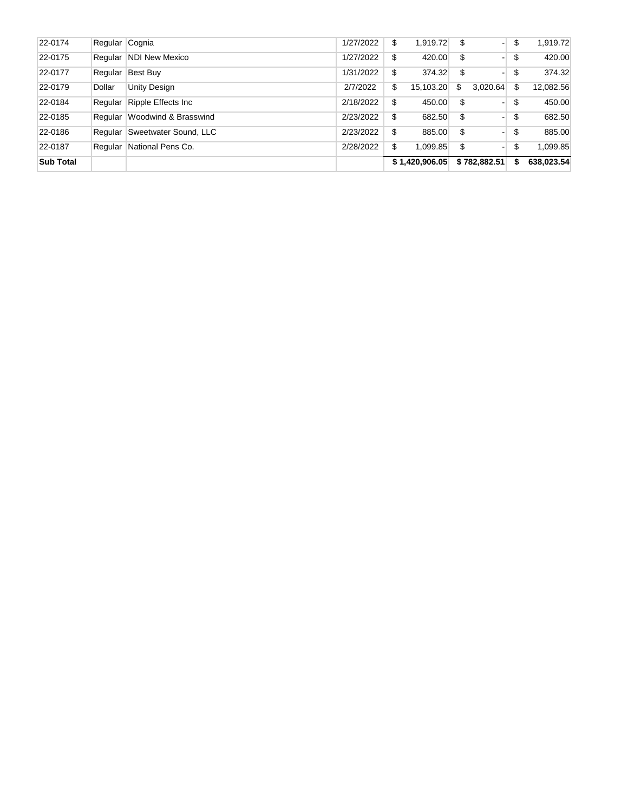| 22-0174          | Regular Cognia |                       | 1/27/2022 | \$<br>1,919.72  | \$<br>- 1      | \$<br>1,919.72   |
|------------------|----------------|-----------------------|-----------|-----------------|----------------|------------------|
| 22-0175          | Regular        | NDI New Mexico        | 1/27/2022 | \$<br>420.00    | \$<br>- 1      | \$<br>420.00     |
| 22-0177          | Regular        | Best Buy              | 1/31/2022 | \$<br>374.32    | \$<br>- 1      | \$<br>374.32     |
| 22-0179          | Dollar         | Unity Design          | 2/7/2022  | \$<br>15,103.20 | \$<br>3.020.64 | \$<br>12,082.56  |
| 22-0184          | Regular        | Ripple Effects Inc    | 2/18/2022 | \$<br>450.00    | \$<br>- 1      | \$<br>450.00     |
| 22-0185          | Regular        | Woodwind & Brasswind  | 2/23/2022 | \$<br>682.50    | \$<br>- 1      | \$<br>682.50     |
| 22-0186          | Regular        | Sweetwater Sound, LLC | 2/23/2022 | \$<br>885.00    | \$<br>- 1      | \$<br>885.00     |
| 22-0187          | Regular        | National Pens Co.     | 2/28/2022 | \$<br>1.099.85  | \$<br>- 1      | \$<br>1.099.85   |
| <b>Sub Total</b> |                |                       |           | \$1,420,906.05  | \$782,882.51   | \$<br>638,023.54 |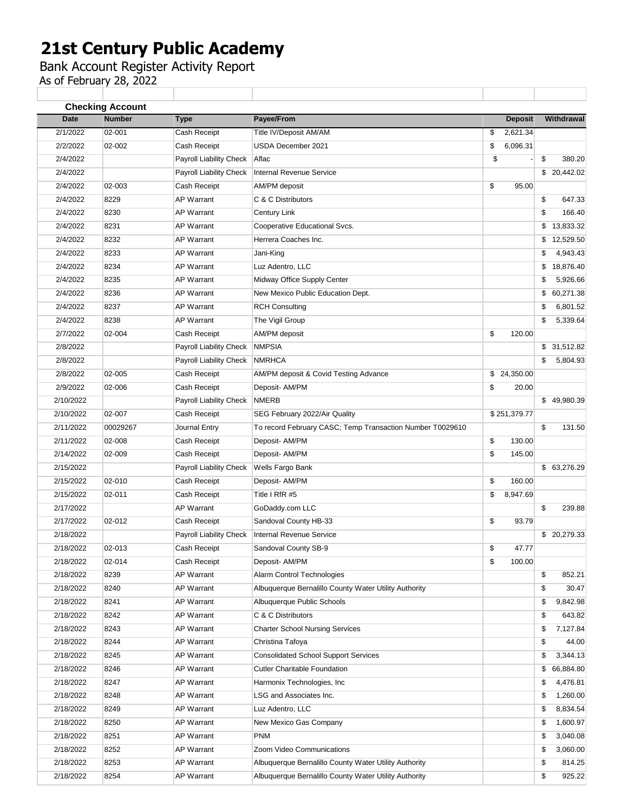Bank Account Register Activity Report

| Date      | <b>Number</b> | <b>Type</b>             | Payee/From                                                | <b>Deposit</b> | Withdrawal      |
|-----------|---------------|-------------------------|-----------------------------------------------------------|----------------|-----------------|
| 2/1/2022  | 02-001        | Cash Receipt            | Title IV/Deposit AM/AM                                    | 2,621.34<br>\$ |                 |
| 2/2/2022  | 02-002        | Cash Receipt            | USDA December 2021                                        | \$<br>6,096.31 |                 |
| 2/4/2022  |               | Payroll Liability Check | Aflac                                                     | \$             | \$<br>380.20    |
| 2/4/2022  |               | Payroll Liability Check | <b>Internal Revenue Service</b>                           |                | \$20,442.02     |
| 2/4/2022  | 02-003        | Cash Receipt            | AM/PM deposit                                             | \$<br>95.00    |                 |
| 2/4/2022  | 8229          | <b>AP Warrant</b>       | C & C Distributors                                        |                | \$<br>647.33    |
| 2/4/2022  | 8230          | <b>AP Warrant</b>       | Century Link                                              |                | \$<br>166.40    |
| 2/4/2022  | 8231          | <b>AP Warrant</b>       | Cooperative Educational Svcs.                             |                | \$13,833.32     |
| 2/4/2022  | 8232          | <b>AP Warrant</b>       | Herrera Coaches Inc.                                      |                | \$<br>12,529.50 |
| 2/4/2022  | 8233          | <b>AP Warrant</b>       | Jani-King                                                 |                | \$<br>4,943.43  |
| 2/4/2022  | 8234          | <b>AP Warrant</b>       | Luz Adentro, LLC                                          |                | \$<br>18,876.40 |
| 2/4/2022  | 8235          | <b>AP Warrant</b>       | Midway Office Supply Center                               |                | \$<br>5,926.66  |
| 2/4/2022  | 8236          | <b>AP Warrant</b>       | New Mexico Public Education Dept.                         |                | \$<br>60,271.38 |
| 2/4/2022  | 8237          | <b>AP Warrant</b>       | <b>RCH Consulting</b>                                     |                | \$<br>6,801.52  |
| 2/4/2022  | 8238          | <b>AP Warrant</b>       | The Vigil Group                                           |                | \$<br>5,339.64  |
| 2/7/2022  | 02-004        | Cash Receipt            | AM/PM deposit                                             | \$<br>120.00   |                 |
| 2/8/2022  |               | Payroll Liability Check | <b>NMPSIA</b>                                             |                | \$31,512.82     |
| 2/8/2022  |               | Payroll Liability Check | <b>NMRHCA</b>                                             |                | \$<br>5,804.93  |
| 2/8/2022  | 02-005        | Cash Receipt            | AM/PM deposit & Covid Testing Advance                     | \$24,350.00    |                 |
| 2/9/2022  | 02-006        | Cash Receipt            | Deposit- AM/PM                                            | \$<br>20.00    |                 |
| 2/10/2022 |               | Payroll Liability Check | <b>NMERB</b>                                              |                | \$49,980.39     |
| 2/10/2022 | 02-007        | Cash Receipt            | SEG February 2022/Air Quality                             | \$251,379.77   |                 |
| 2/11/2022 | 00029267      | Journal Entry           | To record February CASC; Temp Transaction Number T0029610 |                | \$<br>131.50    |
| 2/11/2022 | 02-008        | Cash Receipt            | Deposit- AM/PM                                            | \$<br>130.00   |                 |
| 2/14/2022 | 02-009        | Cash Receipt            | Deposit- AM/PM                                            | \$<br>145.00   |                 |
| 2/15/2022 |               | Payroll Liability Check | Wells Fargo Bank                                          |                | \$63,276.29     |
| 2/15/2022 | 02-010        | Cash Receipt            | Deposit- AM/PM                                            | \$<br>160.00   |                 |
| 2/15/2022 | 02-011        | Cash Receipt            | Title I RfR #5                                            | \$<br>8,947.69 |                 |
| 2/17/2022 |               | <b>AP Warrant</b>       | GoDaddy.com LLC                                           |                | \$<br>239.88    |
| 2/17/2022 | 02-012        | Cash Receipt            | Sandoval County HB-33                                     | \$<br>93.79    |                 |
| 2/18/2022 |               | Payroll Liability Check | <b>Internal Revenue Service</b>                           |                | \$20,279.33     |
| 2/18/2022 | 02-013        | Cash Receipt            | Sandoval County SB-9                                      | \$<br>47.77    |                 |
| 2/18/2022 | 02-014        | Cash Receipt            | Deposit- AM/PM                                            | \$<br>100.00   |                 |
| 2/18/2022 | 8239          | <b>AP Warrant</b>       | Alarm Control Technologies                                |                | \$<br>852.21    |
| 2/18/2022 | 8240          | <b>AP Warrant</b>       | Albuquerque Bernalillo County Water Utility Authority     |                | \$<br>30.47     |
| 2/18/2022 | 8241          | <b>AP Warrant</b>       | Albuquerque Public Schools                                |                | \$<br>9,842.98  |
| 2/18/2022 | 8242          | <b>AP Warrant</b>       | C & C Distributors                                        |                | \$<br>643.82    |
| 2/18/2022 | 8243          | <b>AP Warrant</b>       | <b>Charter School Nursing Services</b>                    |                | \$<br>7,127.84  |
| 2/18/2022 | 8244          | <b>AP Warrant</b>       | Christina Tafoya                                          |                | \$<br>44.00     |
| 2/18/2022 | 8245          | AP Warrant              | <b>Consolidated School Support Services</b>               |                | \$<br>3,344.13  |
| 2/18/2022 | 8246          | <b>AP Warrant</b>       | <b>Cutler Charitable Foundation</b>                       |                | \$<br>66,884.80 |
| 2/18/2022 | 8247          | <b>AP Warrant</b>       | Harmonix Technologies, Inc.                               |                | \$<br>4,476.81  |
| 2/18/2022 | 8248          | <b>AP Warrant</b>       | LSG and Associates Inc.                                   |                | \$<br>1,260.00  |
| 2/18/2022 | 8249          | <b>AP Warrant</b>       | Luz Adentro, LLC                                          |                | \$<br>8,834.54  |
| 2/18/2022 | 8250          | <b>AP Warrant</b>       | New Mexico Gas Company                                    |                | \$<br>1,600.97  |
| 2/18/2022 | 8251          | AP Warrant              | <b>PNM</b>                                                |                | \$<br>3,040.08  |
| 2/18/2022 | 8252          | <b>AP Warrant</b>       | Zoom Video Communications                                 |                | \$<br>3,060.00  |
|           |               |                         |                                                           |                |                 |
| 2/18/2022 | 8253          | <b>AP Warrant</b>       | Albuquerque Bernalillo County Water Utility Authority     |                | \$<br>814.25    |
| 2/18/2022 | 8254          | <b>AP Warrant</b>       | Albuquerque Bernalillo County Water Utility Authority     |                | \$<br>925.22    |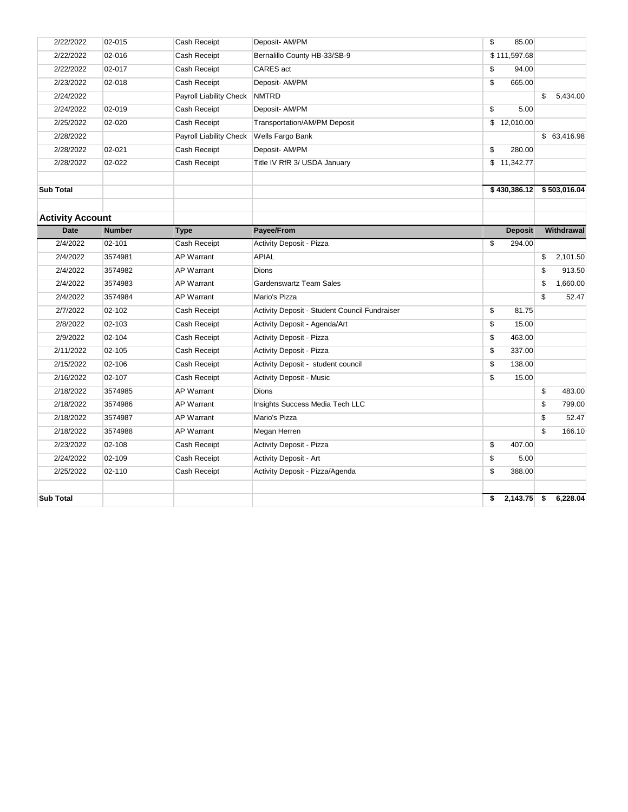| 2/22/2022               | 02-015        | Cash Receipt                   | Deposit- AM/PM                                | \$<br>85.00         |                |
|-------------------------|---------------|--------------------------------|-----------------------------------------------|---------------------|----------------|
| 2/22/2022               | 02-016        | Cash Receipt                   | Bernalillo County HB-33/SB-9                  | \$111,597.68        |                |
| 2/22/2022               | 02-017        | Cash Receipt                   | CARES act                                     | \$<br>94.00         |                |
| 2/23/2022               | 02-018        | Cash Receipt                   | Deposit- AM/PM                                | \$<br>665.00        |                |
| 2/24/2022               |               | <b>Payroll Liability Check</b> | <b>NMTRD</b>                                  |                     | \$<br>5,434.00 |
| 2/24/2022               | 02-019        | Cash Receipt                   | Deposit- AM/PM                                | \$<br>5.00          |                |
| 2/25/2022               | 02-020        | Cash Receipt                   | Transportation/AM/PM Deposit                  | \$12,010.00         |                |
| 2/28/2022               |               | Payroll Liability Check        | Wells Fargo Bank                              |                     | \$ 63,416.98   |
| 2/28/2022               | 02-021        | Cash Receipt                   | Deposit- AM/PM                                | \$<br>280.00        |                |
| 2/28/2022               | 02-022        | Cash Receipt                   | Title IV RfR 3/ USDA January                  | \$11,342.77         |                |
| <b>Sub Total</b>        |               |                                |                                               | \$430,386.12        | \$503,016.04   |
| <b>Activity Account</b> |               |                                |                                               |                     |                |
| <b>Date</b>             | <b>Number</b> | <b>Type</b>                    | Payee/From                                    | <b>Deposit</b>      | Withdrawal     |
| 2/4/2022                | 02-101        | Cash Receipt                   | Activity Deposit - Pizza                      | \$<br>294.00        |                |
| 2/4/2022                | 3574981       | <b>AP Warrant</b>              | <b>APIAL</b>                                  |                     | \$<br>2,101.50 |
| 2/4/2022                | 3574982       | <b>AP Warrant</b>              | Dions                                         |                     | \$<br>913.50   |
| 2/4/2022                | 3574983       | <b>AP Warrant</b>              | <b>Gardenswartz Team Sales</b>                |                     | \$<br>1,660.00 |
| 2/4/2022                | 3574984       | <b>AP Warrant</b>              | Mario's Pizza                                 |                     | \$<br>52.47    |
| 2/7/2022                | 02-102        | Cash Receipt                   | Activity Deposit - Student Council Fundraiser | \$<br>81.75         |                |
| 2/8/2022                | 02-103        | Cash Receipt                   | Activity Deposit - Agenda/Art                 | \$<br>15.00         |                |
| 2/9/2022                | 02-104        | Cash Receipt                   | <b>Activity Deposit - Pizza</b>               | \$<br>463.00        |                |
| 2/11/2022               | 02-105        | Cash Receipt                   | <b>Activity Deposit - Pizza</b>               | \$<br>337.00        |                |
| 2/15/2022               | 02-106        | Cash Receipt                   | Activity Deposit - student council            | \$<br>138.00        |                |
| 2/16/2022               | 02-107        | Cash Receipt                   | <b>Activity Deposit - Music</b>               | \$<br>15.00         |                |
| 2/18/2022               | 3574985       | <b>AP Warrant</b>              | Dions                                         |                     | \$<br>483.00   |
| 2/18/2022               | 3574986       | <b>AP Warrant</b>              | Insights Success Media Tech LLC               |                     | \$<br>799.00   |
| 2/18/2022               | 3574987       | <b>AP Warrant</b>              | Mario's Pizza                                 |                     | \$<br>52.47    |
| 2/18/2022               | 3574988       | <b>AP Warrant</b>              | Megan Herren                                  |                     | \$<br>166.10   |
| 2/23/2022               | 02-108        | Cash Receipt                   | <b>Activity Deposit - Pizza</b>               | \$<br>407.00        |                |
| 2/24/2022               | 02-109        | Cash Receipt                   | Activity Deposit - Art                        | \$<br>5.00          |                |
| 2/25/2022               | 02-110        | Cash Receipt                   | Activity Deposit - Pizza/Agenda               | \$<br>388.00        |                |
| <b>Sub Total</b>        |               |                                |                                               | \$<br>$2,143.75$ \$ | 6,228.04       |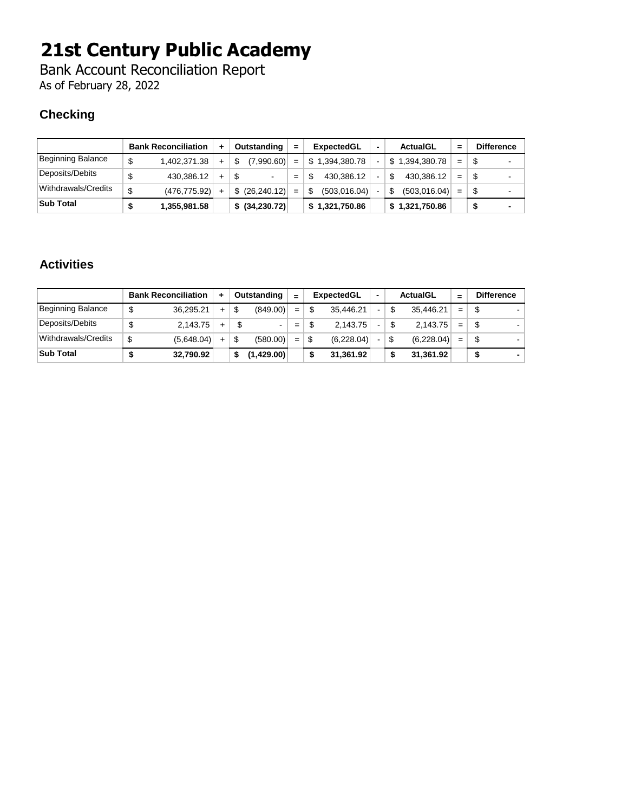Bank Account Reconciliation Report As of February 28, 2022

### **Checking**

|                     | <b>Bank Reconciliation</b> | ٠   |    | Outstanding     | $=$ | <b>ExpectedGL</b> |                | ActualGL           | =   | <b>Difference</b> |
|---------------------|----------------------------|-----|----|-----------------|-----|-------------------|----------------|--------------------|-----|-------------------|
| Beginning Balance   | \$<br>1.402.371.38         | $+$ | S  | (7,990.60)      | $=$ | \$1,394,380.78    | ٠              | \$1,394,380.78     | $=$ | ۰                 |
| Deposits/Debits     | \$<br>430.386.12           | $+$ | \$ |                 | $=$ | 430.386.12        | $\blacksquare$ | \$<br>430.386.12   | $=$ | $\blacksquare$    |
| Withdrawals/Credits | \$<br>(476, 775.92)        |     |    | \$ (26, 240.12) | $=$ | (503, 016.04)     |                | \$<br>(503,016.04) | $=$ | $\blacksquare$    |
| <b>Sub Total</b>    | 1,355,981.58               |     |    | \$ (34,230.72)  |     | \$1,321,750.86    |                | \$1,321,750.86     |     | -                 |

### **Activities**

|                     | <b>Bank Reconciliation</b> | ٠         |    | Outstanding | $=$ |    | ExpectedGL | -              |     | <b>ActualGL</b> |     | <b>Difference</b> |
|---------------------|----------------------------|-----------|----|-------------|-----|----|------------|----------------|-----|-----------------|-----|-------------------|
| Beginning Balance   | \$<br>36.295.21            | $+$       | \$ | (849.00)    | $=$ | \$ | 35.446.21  | $\blacksquare$ | -\$ | 35,446.21       | $=$ |                   |
| Deposits/Debits     | \$<br>2.143.75             | $+$       | S  | -           | $=$ | S  | 2.143.75   | ٠              | \$  | 2.143.75        | $=$ | \$                |
| Withdrawals/Credits | \$<br>(5,648.04)           | $\ddot{}$ | \$ | (580.00)    | $=$ | \$ | (6,228.04) |                | \$  | (6,228.04)      | $=$ | \$                |
| <b>Sub Total</b>    | 32.790.92                  |           | S  | (1,429.00)  |     | \$ | 31,361.92  |                | \$  | 31,361.92       |     |                   |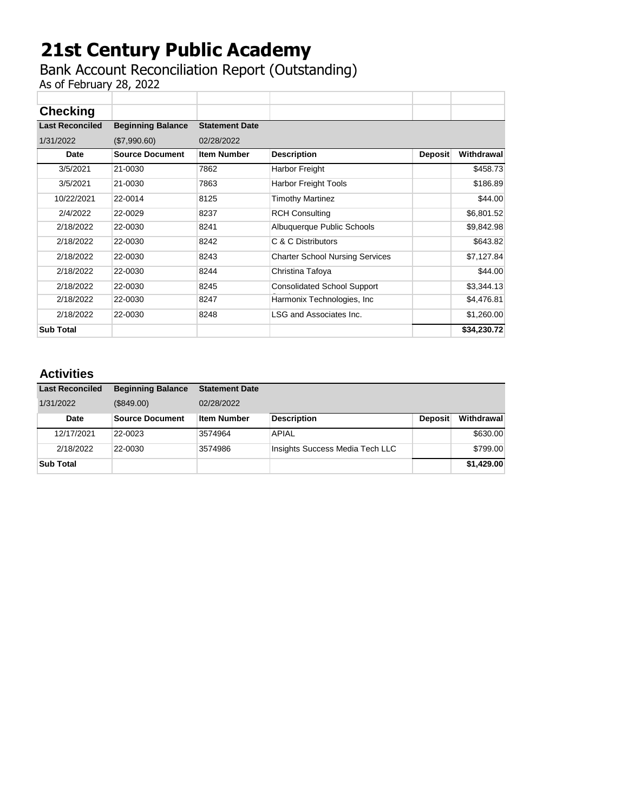## Bank Account Reconciliation Report (Outstanding)

As of February 28, 2022

| <b>Checking</b>        |                          |                       |                                        |                |             |
|------------------------|--------------------------|-----------------------|----------------------------------------|----------------|-------------|
| <b>Last Reconciled</b> | <b>Beginning Balance</b> | <b>Statement Date</b> |                                        |                |             |
| 1/31/2022              | (\$7,990.60)             | 02/28/2022            |                                        |                |             |
| Date                   | <b>Source Document</b>   | <b>Item Number</b>    | <b>Description</b>                     | <b>Deposit</b> | Withdrawal  |
| 3/5/2021               | 21-0030                  | 7862                  | Harbor Freight                         |                | \$458.73    |
| 3/5/2021               | 21-0030                  | 7863                  | <b>Harbor Freight Tools</b>            |                | \$186.89    |
| 10/22/2021             | 22-0014                  | 8125                  | <b>Timothy Martinez</b>                |                | \$44.00     |
| 2/4/2022               | 22-0029                  | 8237                  | <b>RCH Consulting</b>                  |                | \$6,801.52  |
| 2/18/2022              | 22-0030                  | 8241                  | Albuquerque Public Schools             |                | \$9,842.98  |
| 2/18/2022              | 22-0030                  | 8242                  | C & C Distributors                     |                | \$643.82    |
| 2/18/2022              | 22-0030                  | 8243                  | <b>Charter School Nursing Services</b> |                | \$7,127.84  |
| 2/18/2022              | 22-0030                  | 8244                  | Christina Tafoya                       |                | \$44.00     |
| 2/18/2022              | 22-0030                  | 8245                  | <b>Consolidated School Support</b>     |                | \$3,344.13  |
| 2/18/2022              | 22-0030                  | 8247                  | Harmonix Technologies, Inc.            |                | \$4,476.81  |
| 2/18/2022              | 22-0030                  | 8248                  | LSG and Associates Inc.                |                | \$1,260.00  |
| <b>Sub Total</b>       |                          |                       |                                        |                | \$34,230.72 |

### **Activities**

| <b>Last Reconciled</b> | <b>Beginning Balance</b> | <b>Statement Date</b> |                                 |                |            |
|------------------------|--------------------------|-----------------------|---------------------------------|----------------|------------|
| 1/31/2022              | (\$849.00)               | 02/28/2022            |                                 |                |            |
| Date                   | <b>Source Document</b>   | <b>Item Number</b>    | <b>Description</b>              | <b>Deposit</b> | Withdrawal |
| 12/17/2021             | 22-0023                  | 3574964               | <b>APIAL</b>                    |                | \$630.00   |
| 2/18/2022              | 22-0030                  | 3574986               | Insights Success Media Tech LLC |                | \$799.00   |
| <b>Sub Total</b>       |                          |                       |                                 |                | \$1,429.00 |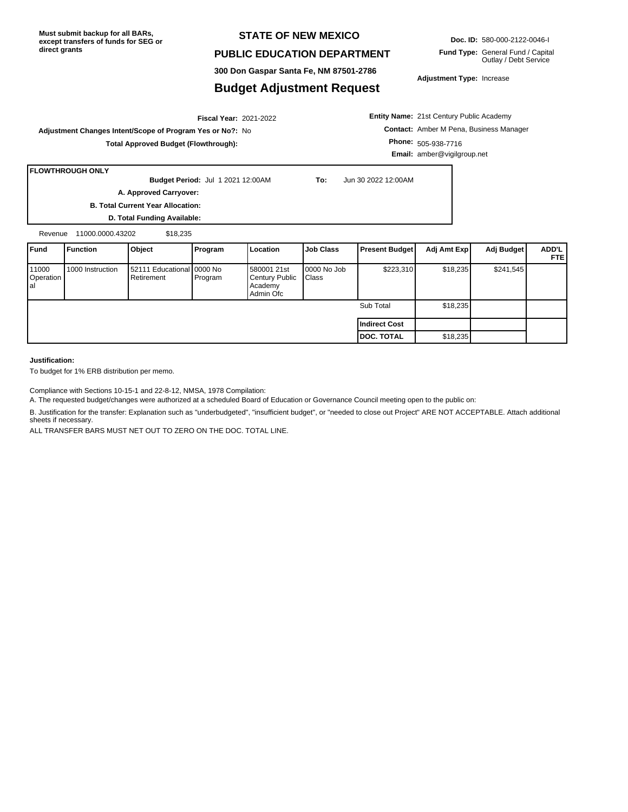#### **STATE OF NEW MEXICO**

#### **PUBLIC EDUCATION DEPARTMENT**

**300 Don Gaspar Santa Fe, NM 87501-2786**

#### **Budget Adjustment Request**

Outlay / Debt Service

**Adjustment Type:** Increase

**Entity Name:** 21st Century Public Academy **Contact:** Amber M Pena, Business Manager **Phone:** 505-938-7716 **Email:** amber@vigilgroup.net

**FLOWTHROUGH ONLY**

**Budget Period:** Jul 1 2021 12:00AM **To:** Jun 30 2022 12:00AM **A. Approved Carryover:** 

2021-2022 **Fiscal Year:**

**B. Total Current Year Allocation:**

**D. Total Funding Available:**

**Adjustment Changes Intent/Scope of Program Yes or No?:** No

**Total Approved Budget (Flowthrough):**

Revenue 11000.0000.43202 \$18,235

| <b>IFund</b>              | <b>Function</b>  | Object                                    | Program | Location                                              | <b>Job Class</b>     | <b>Present Budget</b> | Adj Amt Exp | Adj Budget | ADD'L<br><b>FTEI</b> |
|---------------------------|------------------|-------------------------------------------|---------|-------------------------------------------------------|----------------------|-----------------------|-------------|------------|----------------------|
| 11000<br>Operation<br>lal | 1000 Instruction | 52111 Educational 0000 No<br>l Retirement | Program | 580001 21st<br>Century Public<br>Academy<br>Admin Ofc | 0000 No Job<br>Class | \$223,310             | \$18,235    | \$241,545  |                      |
|                           |                  |                                           |         |                                                       |                      | Sub Total             | \$18,235    |            |                      |
|                           |                  |                                           |         |                                                       |                      | Indirect Cost         |             |            |                      |
|                           |                  |                                           |         |                                                       |                      | <b>DOC. TOTAL</b>     | \$18,235    |            |                      |

#### **Justification:**

To budget for 1% ERB distribution per memo.

Compliance with Sections 10-15-1 and 22-8-12, NMSA, 1978 Compilation:

A. The requested budget/changes were authorized at a scheduled Board of Education or Governance Council meeting open to the public on:

B. Justification for the transfer: Explanation such as "underbudgeted", "insufficient budget", or "needed to close out Project" ARE NOT ACCEPTABLE. Attach additional sheets if necessary.

ALL TRANSFER BARS MUST NET OUT TO ZERO ON THE DOC. TOTAL LINE.

**Doc. ID:** 580-000-2122-0046-I

**Fund Type:** General Fund / Capital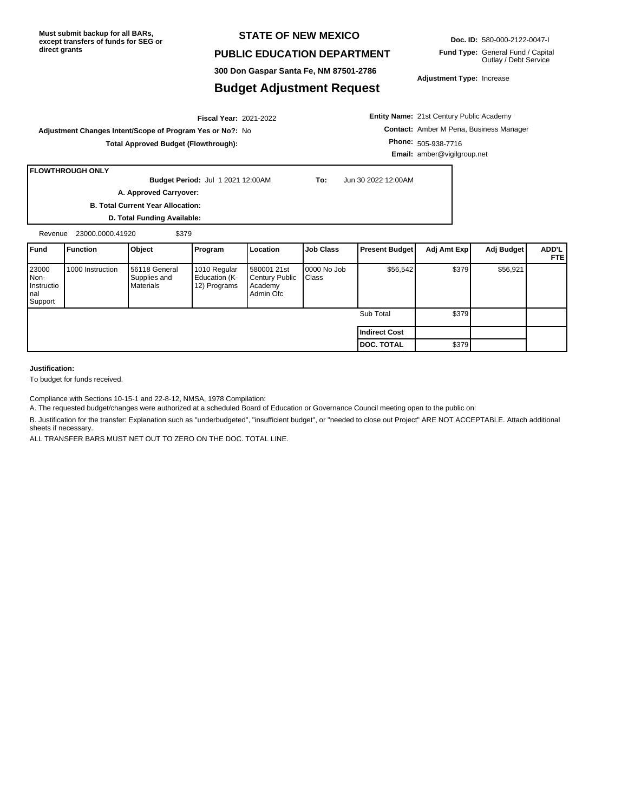#### **STATE OF NEW MEXICO**

#### **PUBLIC EDUCATION DEPARTMENT**

**300 Don Gaspar Santa Fe, NM 87501-2786**

#### **Budget Adjustment Request**

**Adjustment Type:** Increase

2021-2022 **Fiscal Year: Adjustment Changes Intent/Scope of Program Yes or No?:** No

**Total Approved Budget (Flowthrough):**

**Entity Name:** 21st Century Public Academy **Contact:** Amber M Pena, Business Manager **Phone:** 505-938-7716 **Email:** amber@vigilgroup.net

#### **FLOWTHROUGH ONLY**

**Budget Period:** Jul 1 2021 12:00AM **To:** Jun 30 2022 12:00AM

**A. Approved Carryover:** 

**B. Total Current Year Allocation:**

**D. Total Funding Available:** Revenue 23000.0000.41920 \$379

| <b>Fund</b>                                     | Function         | Object                                              | <b>Program</b>                                | Location                                              | <b>Job Class</b>     | <b>Present Budget</b> | Adj Amt Exp | Adj Budget | <b>ADD'L</b><br><b>FTEI</b> |
|-------------------------------------------------|------------------|-----------------------------------------------------|-----------------------------------------------|-------------------------------------------------------|----------------------|-----------------------|-------------|------------|-----------------------------|
| 23000<br>INon-<br>Instructio<br>Inal<br>Support | 1000 Instruction | <b>1</b> 56118 General<br>Supplies and<br>Materials | 1010 Regular<br>Education (K-<br>12) Programs | 580001 21st<br>Century Public<br>Academy<br>Admin Ofc | 0000 No Job<br>Class | \$56,542              | \$379       | \$56,921   |                             |
|                                                 |                  |                                                     |                                               |                                                       |                      | Sub Total             | \$379       |            |                             |
|                                                 |                  |                                                     |                                               |                                                       |                      | Indirect Cost         |             |            |                             |
|                                                 |                  |                                                     |                                               |                                                       |                      | <b>IDOC. TOTAL</b>    | \$379       |            |                             |

**Justification:**

To budget for funds received.

Compliance with Sections 10-15-1 and 22-8-12, NMSA, 1978 Compilation:

A. The requested budget/changes were authorized at a scheduled Board of Education or Governance Council meeting open to the public on:

B. Justification for the transfer: Explanation such as "underbudgeted", "insufficient budget", or "needed to close out Project" ARE NOT ACCEPTABLE. Attach additional sheets if necessary.

ALL TRANSFER BARS MUST NET OUT TO ZERO ON THE DOC. TOTAL LINE.

**Doc. ID:** 580-000-2122-0047-I

**Fund Type:** General Fund / Capital Outlay / Debt Service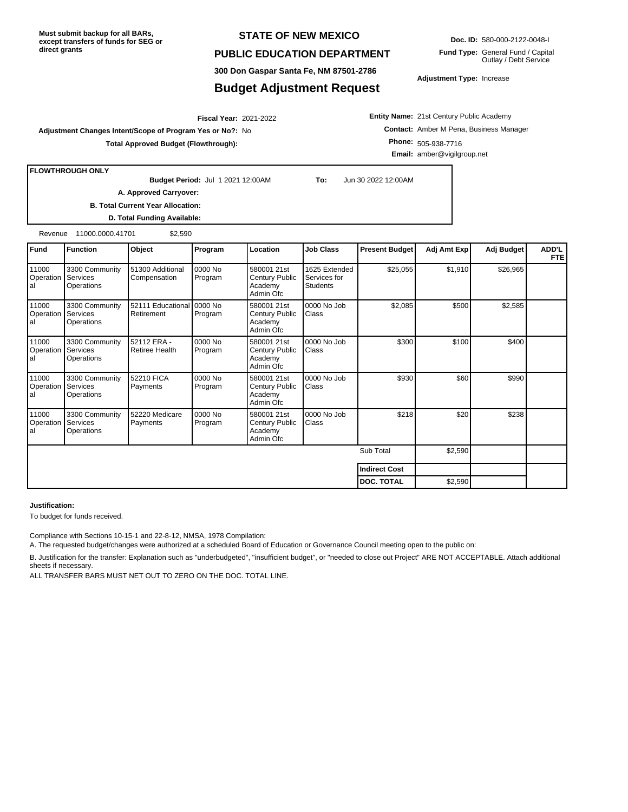#### **STATE OF NEW MEXICO**

#### **PUBLIC EDUCATION DEPARTMENT**

**300 Don Gaspar Santa Fe, NM 87501-2786**

#### **Budget Adjustment Request**

**Doc. ID:** 580-000-2122-0048-I

**Fund Type:** General Fund / Capital Outlay / Debt Service

**Adjustment Type:** Increase

2021-2022 **Fiscal Year:**

**Adjustment Changes Intent/Scope of Program Yes or No?:** No

**Total Approved Budget (Flowthrough):**

**Entity Name:** 21st Century Public Academy **Contact:** Amber M Pena, Business Manager **Phone:** 505-938-7716 **Email:** amber@vigilgroup.net

**FLOWTHROUGH ONLY**

**Budget Period:** Jul 1 2021 12:00AM **To:** Jun 30 2022 12:00AM

**B. Total Current Year Allocation:**

**A. Approved Carryover:** 

**D. Total Funding Available:**

Revenue 11000.0000.41701 \$2,590

| <b>Fund</b>              | <b>Function</b>                          | Object                                  | Program            | Location                                                     | <b>Job Class</b>                                 | <b>Present Budget</b> | Adj Amt Exp | Adj Budget | ADD'L<br><b>FTE</b> |
|--------------------------|------------------------------------------|-----------------------------------------|--------------------|--------------------------------------------------------------|--------------------------------------------------|-----------------------|-------------|------------|---------------------|
| 11000<br>Operation<br>al | 3300 Community<br>Services<br>Operations | 51300 Additional<br>Compensation        | 0000 No<br>Program | 580001 21st<br>Century Public<br>Academy<br>Admin Ofc        | 1625 Extended<br>Services for<br><b>Students</b> | \$25,055              | \$1,910     | \$26,965   |                     |
| 11000<br>Operation<br>al | 3300 Community<br>Services<br>Operations | 52111 Educational 0000 No<br>Retirement | Program            | 580001 21st<br><b>Century Public</b><br>Academy<br>Admin Ofc | 0000 No Job<br>Class                             | \$2,085               | \$500       | \$2,585    |                     |
| 11000<br>Operation<br>al | 3300 Community<br>Services<br>Operations | 52112 ERA -<br><b>Retiree Health</b>    | 0000 No<br>Program | 580001 21st<br><b>Century Public</b><br>Academy<br>Admin Ofc | 0000 No Job<br>Class                             | \$300                 | \$100       | \$400      |                     |
| 11000<br>Operation<br>al | 3300 Community<br>Services<br>Operations | 52210 FICA<br>Payments                  | 0000 No<br>Program | 580001 21st<br><b>Century Public</b><br>Academy<br>Admin Ofc | 0000 No Job<br>Class                             | \$930                 | \$60        | \$990      |                     |
| 11000<br>Operation<br>al | 3300 Community<br>Services<br>Operations | 52220 Medicare<br>Payments              | 0000 No<br>Program | 580001 21st<br><b>Century Public</b><br>Academy<br>Admin Ofc | 0000 No Job<br>Class                             | \$218                 | \$20        | \$238      |                     |
|                          |                                          |                                         |                    |                                                              |                                                  | Sub Total             | \$2,590     |            |                     |
|                          |                                          |                                         |                    |                                                              |                                                  | <b>Indirect Cost</b>  |             |            |                     |
|                          |                                          |                                         |                    |                                                              |                                                  | DOC. TOTAL            | \$2,590     |            |                     |

**Justification:**

To budget for funds received.

Compliance with Sections 10-15-1 and 22-8-12, NMSA, 1978 Compilation:

A. The requested budget/changes were authorized at a scheduled Board of Education or Governance Council meeting open to the public on:

B. Justification for the transfer: Explanation such as "underbudgeted", "insufficient budget", or "needed to close out Project" ARE NOT ACCEPTABLE. Attach additional sheets if necessary.

ALL TRANSFER BARS MUST NET OUT TO ZERO ON THE DOC. TOTAL LINE.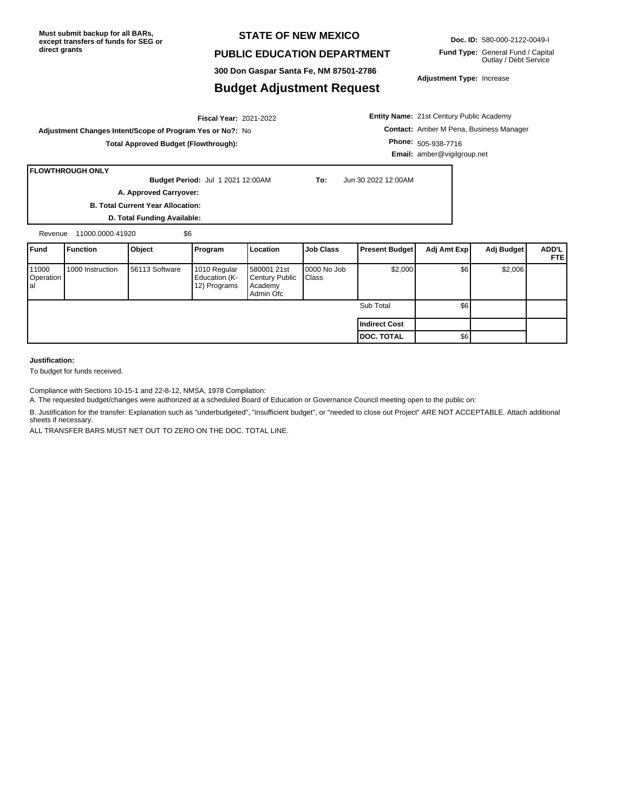#### **STATE OF NEW MEXICO**

#### **PUBLIC EDUCATION DEPARTMENT**

**300 Don Gaspar Santa Fe, NM 87501-2786**

#### **Budget Adjustment Request**

**Doc. ID:** 580-000-2122-0049-I

**Fund Type:** General Fund / Capital Outlay / Debt Service

**Adjustment Type:** Increase

**Entity Name:** 21st Century Public Academy **Contact:** Amber M Pena, Business Manager **Phone:** 505-938-7716 **Email:** amber@vigilgroup.net

**Total Approved Budget (Flowthrough):**

**Adjustment Changes Intent/Scope of Program Yes or No?:** No

#### **FLOWTHROUGH ONLY**

**Budget Period:** Jul 1 2021 12:00AM **To:** Jun 30 2022 12:00AM

2021-2022 **Fiscal Year:**

**A. Approved Carryover:** 

**B. Total Current Year Allocation:**

**D. Total Funding Available:** Revenue 11000.0000.41920 \$6

**Fund Function Object Program Location Job Class Present Budget Adj Amt Exp Adj Budget ADD'L FTE** 11000 **Operation** al 1000 Instruction 56113 Software 1010 Regular Education (K-12) Programs 580001 21st Century Public Academy Admin Ofc 0000 No Job Class  $$2,000$   $$6$   $$2,006$ Sub Total | \$6 **Indirect Cost DOC. TOTAL** \$6

#### **Justification:**

To budget for funds received.

Compliance with Sections 10-15-1 and 22-8-12, NMSA, 1978 Compilation:

A. The requested budget/changes were authorized at a scheduled Board of Education or Governance Council meeting open to the public on:

B. Justification for the transfer: Explanation such as "underbudgeted", "insufficient budget", or "needed to close out Project" ARE NOT ACCEPTABLE. Attach additional sheets if necessary.

ALL TRANSFER BARS MUST NET OUT TO ZERO ON THE DOC. TOTAL LINE.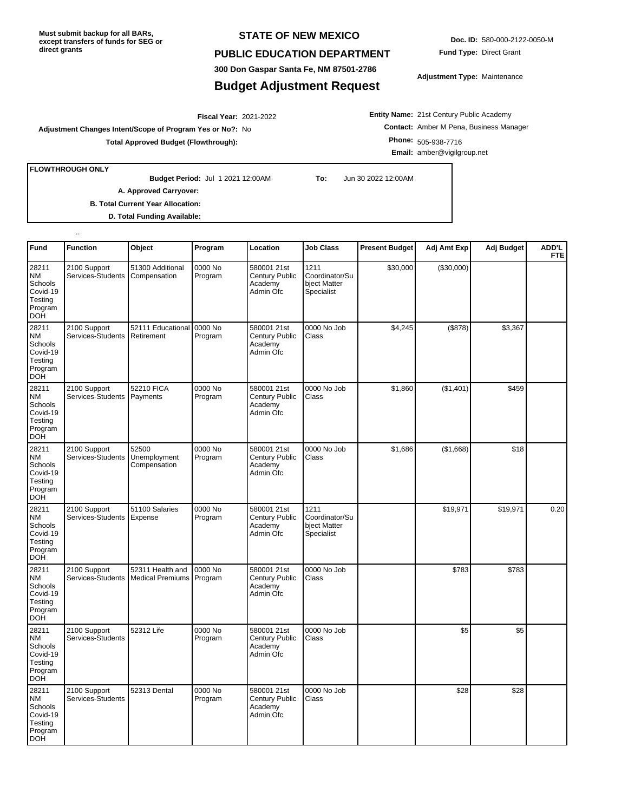#### **STATE OF NEW MEXICO**

**300 Don Gaspar Santa Fe, NM 87501-2786**

**Budget Adjustment Request**

#### **PUBLIC EDUCATION DEPARTMENT**

**Doc. ID:** 580-000-2122-0050-M **Fund Type:** Direct Grant

**Adjustment Type:** Maintenance

2021-2022 **Fiscal Year: Adjustment Changes Intent/Scope of Program Yes or No?:** No **Total Approved Budget (Flowthrough):**

**Entity Name:** 21st Century Public Academy **Contact:** Amber M Pena, Business Manager **Phone:** 505-938-7716 **Email:** amber@vigilgroup.net

**FLOWTHROUGH ONLY**

..

**Budget Period:** Jul 1 2021 12:00AM **To:** Jun 30 2022 12:00AM

**A. Approved Carryover:** 

**B. Total Current Year Allocation:**

**D. Total Funding Available:**

| Fund                                                                   | <b>Function</b>                   | Object                                      | Program            | Location                                                     | <b>Job Class</b>                                     | <b>Present Budget</b> | Adj Amt Exp | Adj Budget | <b>ADD'L</b><br><b>FTE</b> |
|------------------------------------------------------------------------|-----------------------------------|---------------------------------------------|--------------------|--------------------------------------------------------------|------------------------------------------------------|-----------------------|-------------|------------|----------------------------|
| 28211<br>ΝM<br>Schools<br>Covid-19<br>Testing<br>Program<br><b>DOH</b> | 2100 Support<br>Services-Students | 51300 Additional<br>Compensation            | 0000 No<br>Program | 580001 21st<br>Century Public<br>Academy<br>Admin Ofc        | 1211<br>Coordinator/Su<br>bject Matter<br>Specialist | \$30,000              | (\$30,000)  |            |                            |
| 28211<br>NΜ<br>Schools<br>Covid-19<br>Testing<br>Program<br><b>DOH</b> | 2100 Support<br>Services-Students | 52111 Educational<br>Retirement             | 0000 No<br>Program | 580001 21st<br><b>Century Public</b><br>Academy<br>Admin Ofc | 0000 No Job<br>Class                                 | \$4,245               | (\$878)     | \$3,367    |                            |
| 28211<br>ΝM<br>Schools<br>Covid-19<br>Testing<br>Program<br><b>DOH</b> | 2100 Support<br>Services-Students | 52210 FICA<br>Payments                      | 0000 No<br>Program | 580001 21st<br>Century Public<br>Academy<br>Admin Ofc        | 0000 No Job<br>Class                                 | \$1,860               | (\$1,401)   | \$459      |                            |
| 28211<br>NΜ<br>Schools<br>Covid-19<br>Testing<br>Program<br><b>DOH</b> | 2100 Support<br>Services-Students | 52500<br>Unemployment<br>Compensation       | 0000 No<br>Program | 580001 21st<br>Century Public<br>Academy<br>Admin Ofc        | 0000 No Job<br>Class                                 | \$1,686               | (\$1,668)   | \$18       |                            |
| 28211<br>ΝM<br>Schools<br>Covid-19<br>Testing<br>Program<br><b>DOH</b> | 2100 Support<br>Services-Students | 51100 Salaries<br>Expense                   | 0000 No<br>Program | 580001 21st<br>Century Public<br>Academy<br>Admin Ofc        | 1211<br>Coordinator/Su<br>bject Matter<br>Specialist |                       | \$19,971    | \$19,971   | 0.20                       |
| 28211<br>NM<br>Schools<br>Covid-19<br>Testing<br>Program<br>DOH        | 2100 Support<br>Services-Students | 52311 Health and<br><b>Medical Premiums</b> | 0000 No<br>Program | 580001 21st<br>Century Public<br>Academy<br>Admin Ofc        | 0000 No Job<br>Class                                 |                       | \$783       | \$783      |                            |
| 28211<br>ΝM<br>Schools<br>Covid-19<br>Testing<br>Program<br>DOH        | 2100 Support<br>Services-Students | 52312 Life                                  | 0000 No<br>Program | 580001 21st<br><b>Century Public</b><br>Academy<br>Admin Ofc | 0000 No Job<br>Class                                 |                       | \$5         | \$5        |                            |
| 28211<br>NM<br>Schools<br>Covid-19<br>Testing<br>Program<br>DOH        | 2100 Support<br>Services-Students | 52313 Dental                                | 0000 No<br>Program | 580001 21st<br>Century Public<br>Academy<br>Admin Ofc        | 0000 No Job<br>Class                                 |                       | \$28        | \$28       |                            |